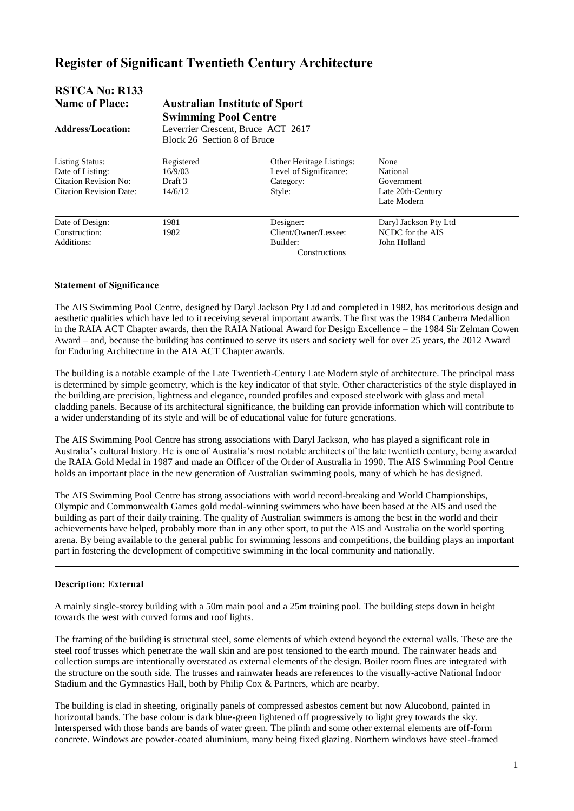# **Register of Significant Twentieth Century Architecture**

| <b>RSTCA No: R133</b><br><b>Name of Place:</b><br><b>Address/Location:</b>                            | <b>Australian Institute of Sport</b><br><b>Swimming Pool Centre</b><br>Leverrier Crescent, Bruce ACT 2617<br>Block 26 Section 8 of Bruce |                                                                                  |                                                                    |  |
|-------------------------------------------------------------------------------------------------------|------------------------------------------------------------------------------------------------------------------------------------------|----------------------------------------------------------------------------------|--------------------------------------------------------------------|--|
| <b>Listing Status:</b><br>Date of Listing:<br>Citation Revision No:<br><b>Citation Revision Date:</b> | Registered<br>16/9/03<br>Draft 3<br>14/6/12                                                                                              | <b>Other Heritage Listings:</b><br>Level of Significance:<br>Category:<br>Style: | None<br>National<br>Government<br>Late 20th-Century<br>Late Modern |  |
| Date of Design:<br>Construction:<br>Additions:                                                        | 1981<br>1982                                                                                                                             | Designer:<br>Client/Owner/Lessee:<br>Builder:<br>Constructions                   | Daryl Jackson Pty Ltd<br>NCDC for the AIS<br>John Holland          |  |

### **Statement of Significance**

The AIS Swimming Pool Centre, designed by Daryl Jackson Pty Ltd and completed in 1982, has meritorious design and aesthetic qualities which have led to it receiving several important awards. The first was the 1984 Canberra Medallion in the RAIA ACT Chapter awards, then the RAIA National Award for Design Excellence – the 1984 Sir Zelman Cowen Award – and, because the building has continued to serve its users and society well for over 25 years, the 2012 Award for Enduring Architecture in the AIA ACT Chapter awards.

The building is a notable example of the Late Twentieth-Century Late Modern style of architecture. The principal mass is determined by simple geometry, which is the key indicator of that style. Other characteristics of the style displayed in the building are precision, lightness and elegance, rounded profiles and exposed steelwork with glass and metal cladding panels. Because of its architectural significance, the building can provide information which will contribute to a wider understanding of its style and will be of educational value for future generations.

The AIS Swimming Pool Centre has strong associations with Daryl Jackson, who has played a significant role in Australia's cultural history. He is one of Australia's most notable architects of the late twentieth century, being awarded the RAIA Gold Medal in 1987 and made an Officer of the Order of Australia in 1990. The AIS Swimming Pool Centre holds an important place in the new generation of Australian swimming pools, many of which he has designed.

The AIS Swimming Pool Centre has strong associations with world record-breaking and World Championships, Olympic and Commonwealth Games gold medal-winning swimmers who have been based at the AIS and used the building as part of their daily training. The quality of Australian swimmers is among the best in the world and their achievements have helped, probably more than in any other sport, to put the AIS and Australia on the world sporting arena. By being available to the general public for swimming lessons and competitions, the building plays an important part in fostering the development of competitive swimming in the local community and nationally.

# **Description: External**

 $\overline{a}$ 

A mainly single-storey building with a 50m main pool and a 25m training pool. The building steps down in height towards the west with curved forms and roof lights.

The framing of the building is structural steel, some elements of which extend beyond the external walls. These are the steel roof trusses which penetrate the wall skin and are post tensioned to the earth mound. The rainwater heads and collection sumps are intentionally overstated as external elements of the design. Boiler room flues are integrated with the structure on the south side. The trusses and rainwater heads are references to the visually-active National Indoor Stadium and the Gymnastics Hall, both by Philip Cox & Partners, which are nearby.

The building is clad in sheeting, originally panels of compressed asbestos cement but now Alucobond, painted in horizontal bands. The base colour is dark blue-green lightened off progressively to light grey towards the sky. Interspersed with those bands are bands of water green. The plinth and some other external elements are off-form concrete. Windows are powder-coated aluminium, many being fixed glazing. Northern windows have steel-framed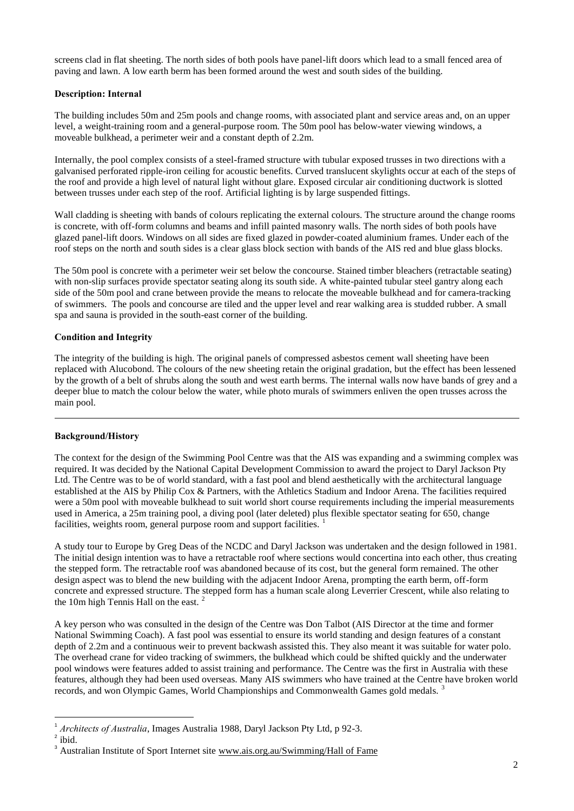screens clad in flat sheeting. The north sides of both pools have panel-lift doors which lead to a small fenced area of paving and lawn. A low earth berm has been formed around the west and south sides of the building.

# **Description: Internal**

The building includes 50m and 25m pools and change rooms, with associated plant and service areas and, on an upper level, a weight-training room and a general-purpose room. The 50m pool has below-water viewing windows, a moveable bulkhead, a perimeter weir and a constant depth of 2.2m.

Internally, the pool complex consists of a steel-framed structure with tubular exposed trusses in two directions with a galvanised perforated ripple-iron ceiling for acoustic benefits. Curved translucent skylights occur at each of the steps of the roof and provide a high level of natural light without glare. Exposed circular air conditioning ductwork is slotted between trusses under each step of the roof. Artificial lighting is by large suspended fittings.

Wall cladding is sheeting with bands of colours replicating the external colours. The structure around the change rooms is concrete, with off-form columns and beams and infill painted masonry walls. The north sides of both pools have glazed panel-lift doors. Windows on all sides are fixed glazed in powder-coated aluminium frames. Under each of the roof steps on the north and south sides is a clear glass block section with bands of the AIS red and blue glass blocks.

The 50m pool is concrete with a perimeter weir set below the concourse. Stained timber bleachers (retractable seating) with non-slip surfaces provide spectator seating along its south side. A white-painted tubular steel gantry along each side of the 50m pool and crane between provide the means to relocate the moveable bulkhead and for camera-tracking of swimmers. The pools and concourse are tiled and the upper level and rear walking area is studded rubber. A small spa and sauna is provided in the south-east corner of the building.

# **Condition and Integrity**

The integrity of the building is high. The original panels of compressed asbestos cement wall sheeting have been replaced with Alucobond. The colours of the new sheeting retain the original gradation, but the effect has been lessened by the growth of a belt of shrubs along the south and west earth berms. The internal walls now have bands of grey and a deeper blue to match the colour below the water, while photo murals of swimmers enliven the open trusses across the main pool.

# **Background/History**

 $\overline{a}$ 

The context for the design of the Swimming Pool Centre was that the AIS was expanding and a swimming complex was required. It was decided by the National Capital Development Commission to award the project to Daryl Jackson Pty Ltd. The Centre was to be of world standard, with a fast pool and blend aesthetically with the architectural language established at the AIS by Philip Cox & Partners, with the Athletics Stadium and Indoor Arena. The facilities required were a 50m pool with moveable bulkhead to suit world short course requirements including the imperial measurements used in America, a 25m training pool, a diving pool (later deleted) plus flexible spectator seating for 650, change facilities, weights room, general purpose room and support facilities.

A study tour to Europe by Greg Deas of the NCDC and Daryl Jackson was undertaken and the design followed in 1981. The initial design intention was to have a retractable roof where sections would concertina into each other, thus creating the stepped form. The retractable roof was abandoned because of its cost, but the general form remained. The other design aspect was to blend the new building with the adjacent Indoor Arena, prompting the earth berm, off-form concrete and expressed structure. The stepped form has a human scale along Leverrier Crescent, while also relating to the 10m high Tennis Hall on the east.<sup>2</sup>

A key person who was consulted in the design of the Centre was Don Talbot (AIS Director at the time and former National Swimming Coach). A fast pool was essential to ensure its world standing and design features of a constant depth of 2.2m and a continuous weir to prevent backwash assisted this. They also meant it was suitable for water polo. The overhead crane for video tracking of swimmers, the bulkhead which could be shifted quickly and the underwater pool windows were features added to assist training and performance. The Centre was the first in Australia with these features, although they had been used overseas. Many AIS swimmers who have trained at the Centre have broken world records, and won Olympic Games, World Championships and Commonwealth Games gold medals. <sup>3</sup>

1

<sup>&</sup>lt;sup>1</sup> Architects of Australia, Images Australia 1988, Daryl Jackson Pty Ltd, p 92-3.

<sup>2</sup> ibid.

<sup>&</sup>lt;sup>3</sup> Australian Institute of Sport Internet site [www.ais.org.au/Swimming/Hall](http://www.ais.org.au/Swimming/Hall) of Fame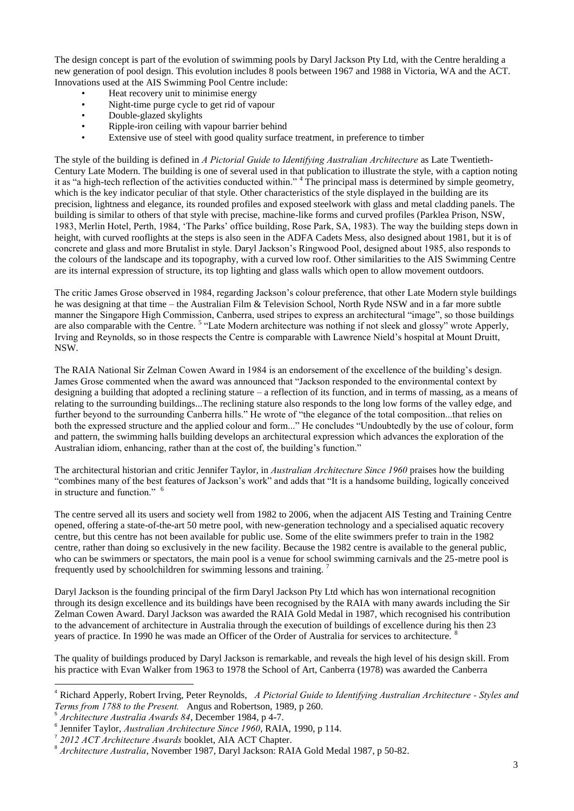The design concept is part of the evolution of swimming pools by Daryl Jackson Pty Ltd, with the Centre heralding a new generation of pool design. This evolution includes 8 pools between 1967 and 1988 in Victoria, WA and the ACT. Innovations used at the AIS Swimming Pool Centre include:

- Heat recovery unit to minimise energy
- Night-time purge cycle to get rid of vapour
- Double-glazed skylights
- Ripple-iron ceiling with vapour barrier behind
- Extensive use of steel with good quality surface treatment, in preference to timber

The style of the building is defined in *A Pictorial Guide to Identifying Australian Architecture* as Late Twentieth-Century Late Modern. The building is one of several used in that publication to illustrate the style, with a caption noting it as "a high-tech reflection of the activities conducted within." <sup>4</sup> The principal mass is determined by simple geometry, which is the key indicator peculiar of that style. Other characteristics of the style displayed in the building are its precision, lightness and elegance, its rounded profiles and exposed steelwork with glass and metal cladding panels. The building is similar to others of that style with precise, machine-like forms and curved profiles (Parklea Prison, NSW, 1983, Merlin Hotel, Perth, 1984, 'The Parks' office building, Rose Park, SA, 1983). The way the building steps down in height, with curved rooflights at the steps is also seen in the ADFA Cadets Mess, also designed about 1981, but it is of concrete and glass and more Brutalist in style. Daryl Jackson's Ringwood Pool, designed about 1985, also responds to the colours of the landscape and its topography, with a curved low roof. Other similarities to the AIS Swimming Centre are its internal expression of structure, its top lighting and glass walls which open to allow movement outdoors.

The critic James Grose observed in 1984, regarding Jackson's colour preference, that other Late Modern style buildings he was designing at that time – the Australian Film & Television School, North Ryde NSW and in a far more subtle manner the Singapore High Commission, Canberra, used stripes to express an architectural "image", so those buildings are also comparable with the Centre.<sup>5</sup> "Late Modern architecture was nothing if not sleek and glossy" wrote Apperly, Irving and Reynolds, so in those respects the Centre is comparable with Lawrence Nield's hospital at Mount Druitt, NSW.

The RAIA National Sir Zelman Cowen Award in 1984 is an endorsement of the excellence of the building's design. James Grose commented when the award was announced that "Jackson responded to the environmental context by designing a building that adopted a reclining stature – a reflection of its function, and in terms of massing, as a means of relating to the surrounding buildings...The reclining stature also responds to the long low forms of the valley edge, and further beyond to the surrounding Canberra hills." He wrote of "the elegance of the total composition...that relies on both the expressed structure and the applied colour and form..." He concludes "Undoubtedly by the use of colour, form and pattern, the swimming halls building develops an architectural expression which advances the exploration of the Australian idiom, enhancing, rather than at the cost of, the building's function."

The architectural historian and critic Jennifer Taylor, in *Australian Architecture Since 1960* praises how the building "combines many of the best features of Jackson's work" and adds that "It is a handsome building, logically conceived in structure and function." <sup>6</sup>

The centre served all its users and society well from 1982 to 2006, when the adjacent AIS Testing and Training Centre opened, offering a state-of-the-art 50 metre pool, with new-generation technology and a specialised aquatic recovery centre, but this centre has not been available for public use. Some of the elite swimmers prefer to train in the 1982 centre, rather than doing so exclusively in the new facility. Because the 1982 centre is available to the general public, who can be swimmers or spectators, the main pool is a venue for school swimming carnivals and the 25-metre pool is frequently used by schoolchildren for swimming lessons and training. <sup>7</sup>

Daryl Jackson is the founding principal of the firm Daryl Jackson Pty Ltd which has won international recognition through its design excellence and its buildings have been recognised by the RAIA with many awards including the Sir Zelman Cowen Award. Daryl Jackson was awarded the RAIA Gold Medal in 1987, which recognised his contribution to the advancement of architecture in Australia through the execution of buildings of excellence during his then 23 years of practice. In 1990 he was made an Officer of the Order of Australia for services to architecture.

The quality of buildings produced by Daryl Jackson is remarkable, and reveals the high level of his design skill. From his practice with Evan Walker from 1963 to 1978 the School of Art, Canberra (1978) was awarded the Canberra

<u>.</u>

<sup>4</sup> Richard Apperly, Robert Irving, Peter Reynolds, *A Pictorial Guide to Identifying Australian Architecture - Styles and Terms from 1788 to the Present.* Angus and Robertson, 1989, p 260.

<sup>5</sup> *Architecture Australia Awards 84*, December 1984, p 4-7.

<sup>&</sup>lt;sup>6</sup> Jennifer Taylor, *Australian Architecture Since 1960*, RAIA, 1990, p 114.

*<sup>2012</sup> ACT Architecture Awards* booklet, AIA ACT Chapter.

<sup>8</sup> *Architecture Australia*, November 1987, Daryl Jackson: RAIA Gold Medal 1987, p 50-82.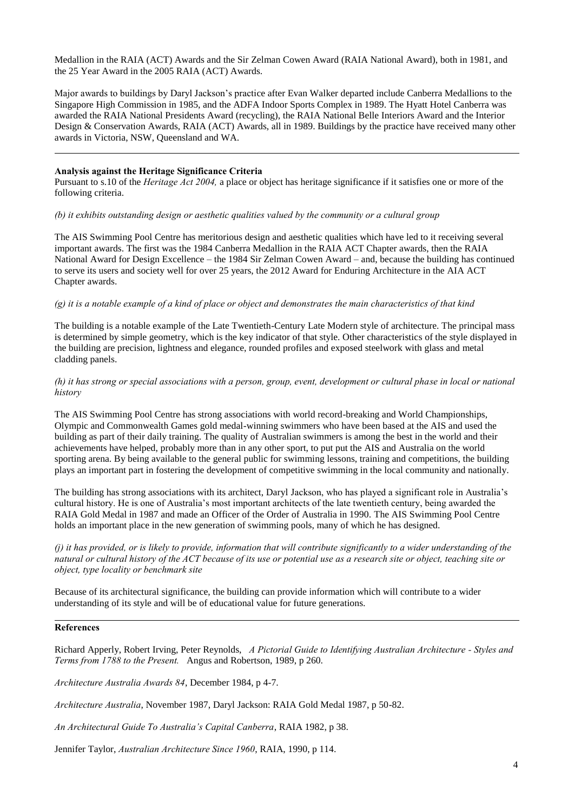Medallion in the RAIA (ACT) Awards and the Sir Zelman Cowen Award (RAIA National Award), both in 1981, and the 25 Year Award in the 2005 RAIA (ACT) Awards.

Major awards to buildings by Daryl Jackson's practice after Evan Walker departed include Canberra Medallions to the Singapore High Commission in 1985, and the ADFA Indoor Sports Complex in 1989. The Hyatt Hotel Canberra was awarded the RAIA National Presidents Award (recycling), the RAIA National Belle Interiors Award and the Interior Design & Conservation Awards, RAIA (ACT) Awards, all in 1989. Buildings by the practice have received many other awards in Victoria, NSW, Queensland and WA.

### **Analysis against the Heritage Significance Criteria**

 $\overline{a}$ 

Pursuant to s.10 of the *Heritage Act 2004*, a place or object has heritage significance if it satisfies one or more of the following criteria.

*(b) it exhibits outstanding design or aesthetic qualities valued by the community or a cultural group*

The AIS Swimming Pool Centre has meritorious design and aesthetic qualities which have led to it receiving several important awards. The first was the 1984 Canberra Medallion in the RAIA ACT Chapter awards, then the RAIA National Award for Design Excellence – the 1984 Sir Zelman Cowen Award – and, because the building has continued to serve its users and society well for over 25 years, the 2012 Award for Enduring Architecture in the AIA ACT Chapter awards.

# *(g) it is a notable example of a kind of place or object and demonstrates the main characteristics of that kind*

The building is a notable example of the Late Twentieth-Century Late Modern style of architecture. The principal mass is determined by simple geometry, which is the key indicator of that style. Other characteristics of the style displayed in the building are precision, lightness and elegance, rounded profiles and exposed steelwork with glass and metal cladding panels.

#### *(h) it has strong or special associations with a person, group, event, development or cultural phase in local or national history*

The AIS Swimming Pool Centre has strong associations with world record-breaking and World Championships, Olympic and Commonwealth Games gold medal-winning swimmers who have been based at the AIS and used the building as part of their daily training. The quality of Australian swimmers is among the best in the world and their achievements have helped, probably more than in any other sport, to put put the AIS and Australia on the world sporting arena. By being available to the general public for swimming lessons, training and competitions, the building plays an important part in fostering the development of competitive swimming in the local community and nationally.

The building has strong associations with its architect, Daryl Jackson, who has played a significant role in Australia's cultural history. He is one of Australia's most important architects of the late twentieth century, being awarded the RAIA Gold Medal in 1987 and made an Officer of the Order of Australia in 1990. The AIS Swimming Pool Centre holds an important place in the new generation of swimming pools, many of which he has designed.

*(j) it has provided, or is likely to provide, information that will contribute significantly to a wider understanding of the natural or cultural history of the ACT because of its use or potential use as a research site or object, teaching site or object, type locality or benchmark site*

Because of its architectural significance, the building can provide information which will contribute to a wider understanding of its style and will be of educational value for future generations.

#### **References**

 $\overline{a}$ 

Richard Apperly, Robert Irving, Peter Reynolds, *A Pictorial Guide to Identifying Australian Architecture - Styles and Terms from 1788 to the Present.* Angus and Robertson, 1989, p 260.

*Architecture Australia Awards 84*, December 1984, p 4-7.

*Architecture Australia*, November 1987, Daryl Jackson: RAIA Gold Medal 1987, p 50-82.

*An Architectural Guide To Australia's Capital Canberra*, RAIA 1982, p 38.

Jennifer Taylor, *Australian Architecture Since 1960*, RAIA, 1990, p 114.